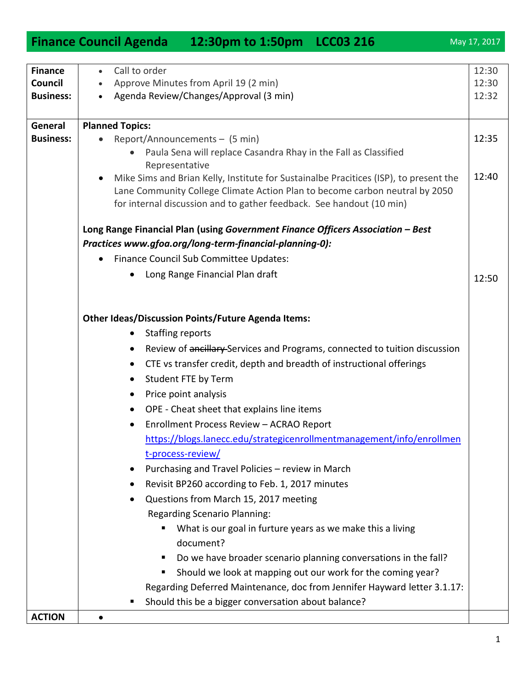| <b>Finance</b>   | Call to order                                                                                           | 12:30 |
|------------------|---------------------------------------------------------------------------------------------------------|-------|
| Council          | Approve Minutes from April 19 (2 min)                                                                   | 12:30 |
| <b>Business:</b> | Agenda Review/Changes/Approval (3 min)<br>$\bullet$                                                     | 12:32 |
|                  |                                                                                                         |       |
| General          | <b>Planned Topics:</b>                                                                                  |       |
| <b>Business:</b> | Report/Announcements - (5 min)<br>$\bullet$                                                             | 12:35 |
|                  | Paula Sena will replace Casandra Rhay in the Fall as Classified                                         |       |
|                  | Representative<br>Mike Sims and Brian Kelly, Institute for Sustainalbe Pracitices (ISP), to present the | 12:40 |
|                  | $\bullet$<br>Lane Community College Climate Action Plan to become carbon neutral by 2050                |       |
|                  | for internal discussion and to gather feedback. See handout (10 min)                                    |       |
|                  |                                                                                                         |       |
|                  | Long Range Financial Plan (using Government Finance Officers Association - Best                         |       |
|                  | Practices www.gfoa.org/long-term-financial-planning-0):                                                 |       |
|                  | Finance Council Sub Committee Updates:<br>$\bullet$                                                     |       |
|                  | Long Range Financial Plan draft<br>٠                                                                    | 12:50 |
|                  |                                                                                                         |       |
|                  |                                                                                                         |       |
|                  | <b>Other Ideas/Discussion Points/Future Agenda Items:</b>                                               |       |
|                  | <b>Staffing reports</b><br>$\bullet$                                                                    |       |
|                  | Review of ancillary Services and Programs, connected to tuition discussion<br>$\bullet$                 |       |
|                  | CTE vs transfer credit, depth and breadth of instructional offerings<br>$\bullet$                       |       |
|                  | Student FTE by Term<br>$\bullet$                                                                        |       |
|                  | Price point analysis<br>$\bullet$                                                                       |       |
|                  | OPE - Cheat sheet that explains line items<br>$\bullet$                                                 |       |
|                  | Enrollment Process Review - ACRAO Report<br>$\bullet$                                                   |       |
|                  | https://blogs.lanecc.edu/strategicenrollmentmanagement/info/enrollmen                                   |       |
|                  | t-process-review/                                                                                       |       |
|                  | Purchasing and Travel Policies - review in March                                                        |       |
|                  | Revisit BP260 according to Feb. 1, 2017 minutes                                                         |       |
|                  | Questions from March 15, 2017 meeting                                                                   |       |
|                  | <b>Regarding Scenario Planning:</b>                                                                     |       |
|                  | What is our goal in furture years as we make this a living                                              |       |
|                  | document?                                                                                               |       |
|                  | ш                                                                                                       |       |
|                  | Do we have broader scenario planning conversations in the fall?<br>ш                                    |       |
|                  | Should we look at mapping out our work for the coming year?                                             |       |
|                  | Regarding Deferred Maintenance, doc from Jennifer Hayward letter 3.1.17:                                |       |
|                  | Should this be a bigger conversation about balance?<br>ш                                                |       |

## **Finance Council Agenda 12:30pm to 1:50pm LCC03 216** May 17, 2017

**ACTION**